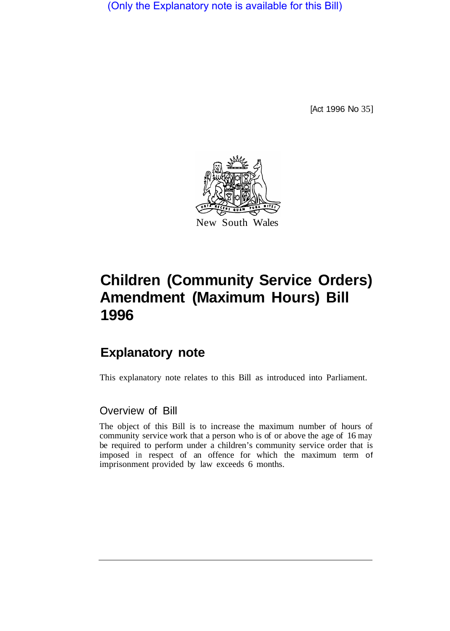(Only the Explanatory note is available for this Bill)

[Act 1996 No 35]



# **Children (Community Service Orders) Amendment (Maximum Hours) Bill 1996**

## **Explanatory note**

This explanatory note relates to this Bill as introduced into Parliament.

### Overview of Bill

The object of this Bill is to increase the maximum number of hours of community service work that a person who is of or above the age of 16 may be required to perform under a children's community service order that is imposed in respect of an offence for which the maximum term of imprisonment provided by law exceeds 6 months.